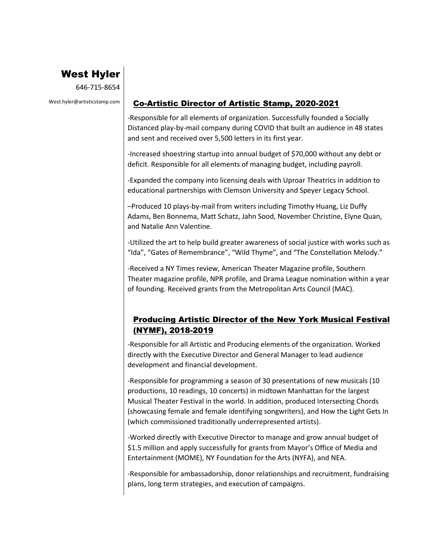# West Hyler

646-715-8654

### West.hyler@artisticstamp.com | Co-Artistic Director of Artistic Stamp, 2020-2021

-Responsible for all elements of organization. Successfully founded a Socially Distanced play-by-mail company during COVID that built an audience in 48 states and sent and received over 5,500 letters in its first year.

-Increased shoestring startup into annual budget of \$70,000 without any debt or deficit. Responsible for all elements of managing budget, including payroll.

-Expanded the company into licensing deals with Uproar Theatrics in addition to educational partnerships with Clemson University and Speyer Legacy School.

–Produced 10 plays-by-mail from writers including Timothy Huang, Liz Duffy Adams, Ben Bonnema, Matt Schatz, Jahn Sood, November Christine, Elyne Quan, and Natalie Ann Valentine.

-Utilized the art to help build greater awareness of social justice with works such as "Ida", "Gates of Remembrance", "Wild Thyme", and "The Constellation Melody."

-Received a NY Times review, American Theater Magazine profile, Southern Theater magazine profile, NPR profile, and Drama League nomination within a year of founding. Received grants from the Metropolitan Arts Council (MAC).

## Producing Artistic Director of the New York Musical Festival (NYMF), 2018-2019

-Responsible for all Artistic and Producing elements of the organization. Worked directly with the Executive Director and General Manager to lead audience development and financial development.

-Responsible for programming a season of 30 presentations of new musicals (10 productions, 10 readings, 10 concerts) in midtown Manhattan for the largest Musical Theater Festival in the world. In addition, produced Intersecting Chords (showcasing female and female identifying songwriters), and How the Light Gets In (which commissioned traditionally underrepresented artists).

-Worked directly with Executive Director to manage and grow annual budget of \$1.5 million and apply successfully for grants from Mayor's Office of Media and Entertainment (MOME), NY Foundation for the Arts (NYFA), and NEA.

-Responsible for ambassadorship, donor relationships and recruitment, fundraising plans, long term strategies, and execution of campaigns.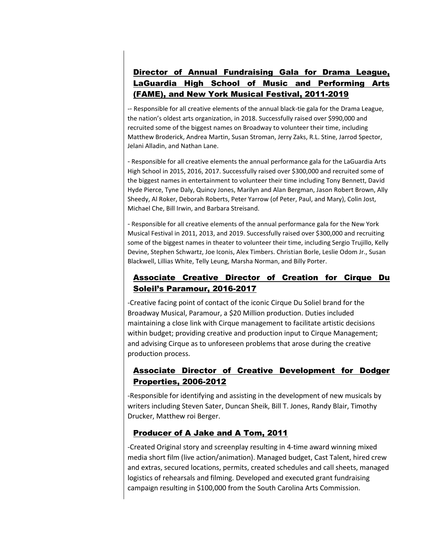# Director of Annual Fundraising Gala for Drama League, LaGuardia High School of Music and Performing Arts (FAME), and New York Musical Festival, 2011-2019

-- Responsible for all creative elements of the annual black-tie gala for the Drama League, the nation's oldest arts organization, in 2018. Successfully raised over \$990,000 and recruited some of the biggest names on Broadway to volunteer their time, including Matthew Broderick, Andrea Martin, Susan Stroman, Jerry Zaks, R.L. Stine, Jarrod Spector, Jelani Alladin, and Nathan Lane.

- Responsible for all creative elements the annual performance gala for the LaGuardia Arts High School in 2015, 2016, 2017. Successfully raised over \$300,000 and recruited some of the biggest names in entertainment to volunteer their time including Tony Bennett, David Hyde Pierce, Tyne Daly, Quincy Jones, Marilyn and Alan Bergman, Jason Robert Brown, Ally Sheedy, Al Roker, Deborah Roberts, Peter Yarrow (of Peter, Paul, and Mary), Colin Jost, Michael Che, Bill Irwin, and Barbara Streisand.

- Responsible for all creative elements of the annual performance gala for the New York Musical Festival in 2011, 2013, and 2019. Successfully raised over \$300,000 and recruiting some of the biggest names in theater to volunteer their time, including Sergio Trujillo, Kelly Devine, Stephen Schwartz, Joe Iconis, Alex Timbers. Christian Borle, Leslie Odom Jr., Susan Blackwell, Lillias White, Telly Leung, Marsha Norman, and Billy Porter.

### Associate Creative Director of Creation for Cirque Du Soleil's Paramour, 2016-2017

-Creative facing point of contact of the iconic Cirque Du Soliel brand for the Broadway Musical, Paramour, a \$20 Million production. Duties included maintaining a close link with Cirque management to facilitate artistic decisions within budget; providing creative and production input to Cirque Management; and advising Cirque as to unforeseen problems that arose during the creative production process.

## Associate Director of Creative Development for Dodger Properties, 2006-2012

-Responsible for identifying and assisting in the development of new musicals by writers including Steven Sater, Duncan Sheik, Bill T. Jones, Randy Blair, Timothy Drucker, Matthew roi Berger.

### Producer of A Jake and A Tom, 2011

-Created Original story and screenplay resulting in 4-time award winning mixed media short film (live action/animation). Managed budget, Cast Talent, hired crew and extras, secured locations, permits, created schedules and call sheets, managed logistics of rehearsals and filming. Developed and executed grant fundraising campaign resulting in \$100,000 from the South Carolina Arts Commission.